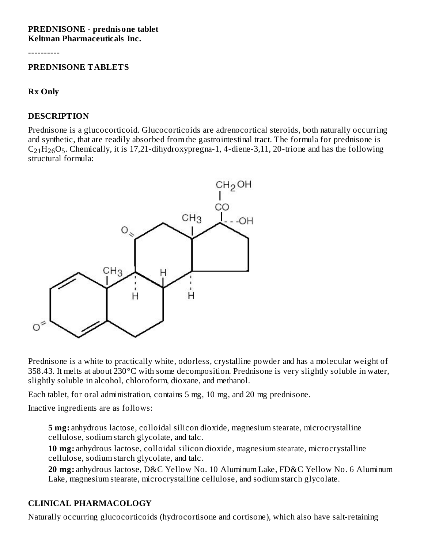#### **PREDNISONE - prednisone tablet Keltman Pharmaceuticals Inc.**

----------

#### **PREDNISONE TABLETS**

#### **Rx Only**

#### **DESCRIPTION**

Prednisone is a glucocorticoid. Glucocorticoids are adrenocortical steroids, both naturally occurring and synthetic, that are readily absorbed from the gastrointestinal tract. The formula for prednisone is  $C_{21}H_{26}O_5$ . Chemically, it is 17,21-dihydroxypregna-1, 4-diene-3,11, 20-trione and has the following structural formula:



Prednisone is a white to practically white, odorless, crystalline powder and has a molecular weight of 358.43. It melts at about 230°C with some decomposition. Prednisone is very slightly soluble in water, slightly soluble in alcohol, chloroform, dioxane, and methanol.

Each tablet, for oral administration, contains 5 mg, 10 mg, and 20 mg prednisone.

Inactive ingredients are as follows:

**5 mg:** anhydrous lactose, colloidal silicon dioxide, magnesium stearate, microcrystalline cellulose, sodium starch glycolate, and talc.

**10 mg:** anhydrous lactose, colloidal silicon dioxide, magnesium stearate, microcrystalline cellulose, sodium starch glycolate, and talc.

**20 mg:** anhydrous lactose, D&C Yellow No. 10 Aluminum Lake, FD&C Yellow No. 6 Aluminum Lake, magnesium stearate, microcrystalline cellulose, and sodium starch glycolate.

#### **CLINICAL PHARMACOLOGY**

Naturally occurring glucocorticoids (hydrocortisone and cortisone), which also have salt-retaining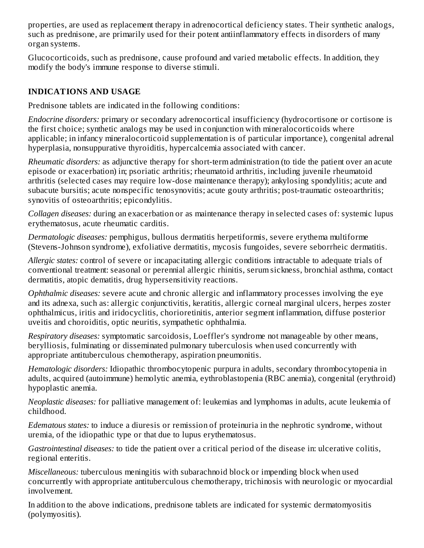properties, are used as replacement therapy in adrenocortical deficiency states. Their synthetic analogs, such as prednisone, are primarily used for their potent antiinflammatory effects in disorders of many organ systems.

Glucocorticoids, such as prednisone, cause profound and varied metabolic effects. In addition, they modify the body's immune response to diverse stimuli.

## **INDICATIONS AND USAGE**

Prednisone tablets are indicated in the following conditions:

*Endocrine disorders:* primary or secondary adrenocortical insufficiency (hydrocortisone or cortisone is the first choice; synthetic analogs may be used in conjunction with mineralocorticoids where applicable; in infancy mineralocorticoid supplementation is of particular importance), congenital adrenal hyperplasia, nonsuppurative thyroiditis, hypercalcemia associated with cancer.

*Rheumatic disorders:* as adjunctive therapy for short-term administration (to tide the patient over an acute episode or exacerbation) in; psoriatic arthritis; rheumatoid arthritis, including juvenile rheumatoid arthritis (selected cases may require low-dose maintenance therapy); ankylosing spondylitis; acute and subacute bursitis; acute nonspecific tenosynovitis; acute gouty arthritis; post-traumatic osteoarthritis; synovitis of osteoarthritis; epicondylitis.

*Collagen diseases:* during an exacerbation or as maintenance therapy in selected cases of: systemic lupus erythematosus, acute rheumatic carditis.

*Dermatologic diseases:* pemphigus, bullous dermatitis herpetiformis, severe erythema multiforme (Stevens-Johnson syndrome), exfoliative dermatitis, mycosis fungoides, severe seborrheic dermatitis.

*Allergic states:* control of severe or incapacitating allergic conditions intractable to adequate trials of conventional treatment: seasonal or perennial allergic rhinitis, serum sickness, bronchial asthma, contact dermatitis, atopic dematitis, drug hypersensitivity reactions.

*Ophthalmic diseases:* severe acute and chronic allergic and inflammatory processes involving the eye and its adnexa, such as: allergic conjunctivitis, keratitis, allergic corneal marginal ulcers, herpes zoster ophthalmicus, iritis and iridocyclitis, chorioretinitis, anterior segment inflammation, diffuse posterior uveitis and choroiditis, optic neuritis, sympathetic ophthalmia.

*Respiratory diseases:* symptomatic sarcoidosis, Loeffler's syndrome not manageable by other means, berylliosis, fulminating or disseminated pulmonary tuberculosis when used concurrently with appropriate antituberculous chemotherapy, aspiration pneumonitis.

*Hematologic disorders:* Idiopathic thrombocytopenic purpura in adults, secondary thrombocytopenia in adults, acquired (autoimmune) hemolytic anemia, eythroblastopenia (RBC anemia), congenital (erythroid) hypoplastic anemia.

*Neoplastic diseases:* for palliative management of: leukemias and lymphomas in adults, acute leukemia of childhood.

*Edematous states:* to induce a diuresis or remission of proteinuria in the nephrotic syndrome, without uremia, of the idiopathic type or that due to lupus erythematosus.

*Gastrointestinal diseases:* to tide the patient over a critical period of the disease in: ulcerative colitis, regional enteritis.

*Miscellaneous:* tuberculous meningitis with subarachnoid block or impending block when used concurrently with appropriate antituberculous chemotherapy, trichinosis with neurologic or myocardial involvement.

In addition to the above indications, prednisone tablets are indicated for systemic dermatomyositis (polymyositis).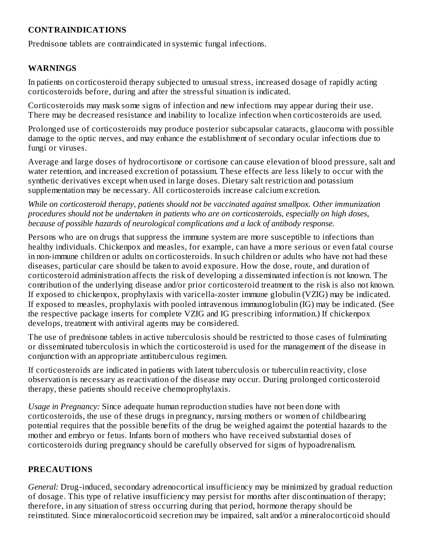## **CONTRAINDICATIONS**

Prednisone tablets are contraindicated in systemic fungal infections.

### **WARNINGS**

In patients on corticosteroid therapy subjected to unusual stress, increased dosage of rapidly acting corticosteroids before, during and after the stressful situation is indicated.

Corticosteroids may mask some signs of infection and new infections may appear during their use. There may be decreased resistance and inability to localize infection when corticosteroids are used.

Prolonged use of corticosteroids may produce posterior subcapsular cataracts, glaucoma with possible damage to the optic nerves, and may enhance the establishment of secondary ocular infections due to fungi or viruses.

Average and large doses of hydrocortisone or cortisone can cause elevation of blood pressure, salt and water retention, and increased excretion of potassium. These effects are less likely to occur with the synthetic derivatives except when used in large doses. Dietary salt restriction and potassium supplementation may be necessary. All corticosteroids increase calcium excretion.

*While on corticosteroid therapy, patients should not be vaccinated against smallpox. Other immunization procedures should not be undertaken in patients who are on corticosteroids, especially on high doses, because of possible hazards of neurological complications and a lack of antibody response.*

Persons who are on drugs that suppress the immune system are more susceptible to infections than healthy individuals. Chickenpox and measles, for example, can have a more serious or even fatal course in non-immune children or adults on corticosteroids. In such children or adults who have not had these diseases, particular care should be taken to avoid exposure. How the dose, route, and duration of corticosteroid administration affects the risk of developing a disseminated infection is not known. The contribution of the underlying disease and/or prior corticosteroid treatment to the risk is also not known. If exposed to chickenpox, prophylaxis with varicella-zoster immune globulin (VZIG) may be indicated. If exposed to measles, prophylaxis with pooled intravenous immunoglobulin (IG) may be indicated. (See the respective package inserts for complete VZIG and IG prescribing information.) If chickenpox develops, treatment with antiviral agents may be considered.

The use of prednisone tablets in active tuberculosis should be restricted to those cases of fulminating or disseminated tuberculosis in which the corticosteroid is used for the management of the disease in conjunction with an appropriate antituberculous regimen.

If corticosteroids are indicated in patients with latent tuberculosis or tuberculin reactivity, close observation is necessary as reactivation of the disease may occur. During prolonged corticosteroid therapy, these patients should receive chemoprophylaxis.

*Usage in Pregnancy:* Since adequate human reproduction studies have not been done with corticosteroids, the use of these drugs in pregnancy, nursing mothers or women of childbearing potential requires that the possible benefits of the drug be weighed against the potential hazards to the mother and embryo or fetus. Infants born of mothers who have received substantial doses of corticosteroids during pregnancy should be carefully observed for signs of hypoadrenalism.

## **PRECAUTIONS**

*General:* Drug-induced, secondary adrenocortical insufficiency may be minimized by gradual reduction of dosage. This type of relative insufficiency may persist for months after discontinuation of therapy; therefore, in any situation of stress occurring during that period, hormone therapy should be reinstituted. Since mineralocorticoid secretion may be impaired, salt and/or a mineralocorticoid should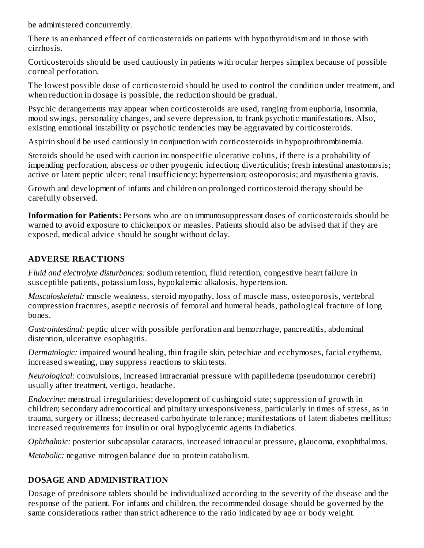be administered concurrently.

There is an enhanced effect of corticosteroids on patients with hypothyroidism and in those with cirrhosis.

Corticosteroids should be used cautiously in patients with ocular herpes simplex because of possible corneal perforation.

The lowest possible dose of corticosteroid should be used to control the condition under treatment, and when reduction in dosage is possible, the reduction should be gradual.

Psychic derangements may appear when corticosteroids are used, ranging from euphoria, insomnia, mood swings, personality changes, and severe depression, to frank psychotic manifestations. Also, existing emotional instability or psychotic tendencies may be aggravated by corticosteroids.

Aspirin should be used cautiously in conjunction with corticosteroids in hypoprothrombinemia.

Steroids should be used with caution in: nonspecific ulcerative colitis, if there is a probability of impending perforation, abscess or other pyogenic infection; diverticulitis; fresh intestinal anastomosis; active or latent peptic ulcer; renal insufficiency; hypertension; osteoporosis; and myasthenia gravis.

Growth and development of infants and children on prolonged corticosteroid therapy should be carefully observed.

**Information for Patients:** Persons who are on immunosuppressant doses of corticosteroids should be warned to avoid exposure to chickenpox or measles. Patients should also be advised that if they are exposed, medical advice should be sought without delay.

# **ADVERSE REACTIONS**

*Fluid and electrolyte disturbances:* sodium retention, fluid retention, congestive heart failure in susceptible patients, potassium loss, hypokalemic alkalosis, hypertension.

*Musculoskeletal:* muscle weakness, steroid myopathy, loss of muscle mass, osteoporosis, vertebral compression fractures, aseptic necrosis of femoral and humeral heads, pathological fracture of long bones.

*Gastrointestinal:* peptic ulcer with possible perforation and hemorrhage, pancreatitis, abdominal distention, ulcerative esophagitis.

*Dermatologic:* impaired wound healing, thin fragile skin, petechiae and ecchymoses, facial erythema, increased sweating, may suppress reactions to skin tests.

*Neurological:* convulsions, increased intracranial pressure with papilledema (pseudotumor cerebri) usually after treatment, vertigo, headache.

*Endocrine:* menstrual irregularities; development of cushingoid state; suppression of growth in children; secondary adrenocortical and pituitary unresponsiveness, particularly in times of stress, as in trauma, surgery or illness; decreased carbohydrate tolerance; manifestations of latent diabetes mellitus; increased requirements for insulin or oral hypoglycemic agents in diabetics.

*Ophthalmic:* posterior subcapsular cataracts, increased intraocular pressure, glaucoma, exophthalmos.

*Metabolic:* negative nitrogen balance due to protein catabolism.

# **DOSAGE AND ADMINISTRATION**

Dosage of prednisone tablets should be individualized according to the severity of the disease and the response of the patient. For infants and children, the recommended dosage should be governed by the same considerations rather than strict adherence to the ratio indicated by age or body weight.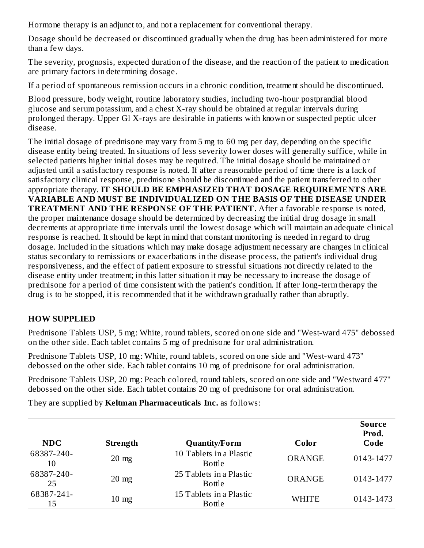Hormone therapy is an adjunct to, and not a replacement for conventional therapy.

Dosage should be decreased or discontinued gradually when the drug has been administered for more than a few days.

The severity, prognosis, expected duration of the disease, and the reaction of the patient to medication are primary factors in determining dosage.

If a period of spontaneous remission occurs in a chronic condition, treatment should be discontinued.

Blood pressure, body weight, routine laboratory studies, including two-hour postprandial blood glucose and serum potassium, and a chest X-ray should be obtained at regular intervals during prolonged therapy. Upper Gl X-rays are desirable in patients with known or suspected peptic ulcer disease.

The initial dosage of prednisone may vary from 5 mg to 60 mg per day, depending on the specific disease entity being treated. In situations of less severity lower doses will generally suffice, while in selected patients higher initial doses may be required. The initial dosage should be maintained or adjusted until a satisfactory response is noted. If after a reasonable period of time there is a lack of satisfactory clinical response, prednisone should be discontinued and the patient transferred to other appropriate therapy. **IT SHOULD BE EMPHASIZED THAT DOSAGE REQUIREMENTS ARE VARIABLE AND MUST BE INDIVIDUALIZED ON THE BASIS OF THE DISEASE UNDER TREATMENT AND THE RESPONSE OF THE PATIENT.** After a favorable response is noted, the proper maintenance dosage should be determined by decreasing the initial drug dosage in small decrements at appropriate time intervals until the lowest dosage which will maintain an adequate clinical response is reached. It should be kept in mind that constant monitoring is needed in regard to drug dosage. Included in the situations which may make dosage adjustment necessary are changes in clinical status secondary to remissions or exacerbations in the disease process, the patient's individual drug responsiveness, and the effect of patient exposure to stressful situations not directly related to the disease entity under treatment; in this latter situation it may be necessary to increase the dosage of prednisone for a period of time consistent with the patient's condition. If after long-term therapy the drug is to be stopped, it is recommended that it be withdrawn gradually rather than abruptly.

## **HOW SUPPLIED**

Prednisone Tablets USP, 5 mg: White, round tablets, scored on one side and "West-ward 475" debossed on the other side. Each tablet contains 5 mg of prednisone for oral administration.

Prednisone Tablets USP, 10 mg: White, round tablets, scored on one side and "West-ward 473" debossed on the other side. Each tablet contains 10 mg of prednisone for oral administration.

Prednisone Tablets USP, 20 mg: Peach colored, round tablets, scored on one side and "Westward 477" debossed on the other side. Each tablet contains 20 mg of prednisone for oral administration.

They are supplied by **Keltman Pharmaceuticals Inc.** as follows:

| <b>NDC</b>       | <b>Strength</b> | <b>Quantity/Form</b>                     | Color         | Source<br>Prod.<br>Code |
|------------------|-----------------|------------------------------------------|---------------|-------------------------|
| 68387-240-<br>10 | $20 \text{ mg}$ | 10 Tablets in a Plastic<br><b>Bottle</b> | <b>ORANGE</b> | 0143-1477               |
| 68387-240-<br>25 | $20 \text{ mg}$ | 25 Tablets in a Plastic<br><b>Bottle</b> | <b>ORANGE</b> | 0143-1477               |
| 68387-241-<br>15 | $10 \text{ mg}$ | 15 Tablets in a Plastic<br><b>Bottle</b> | WHITE         | 0143-1473               |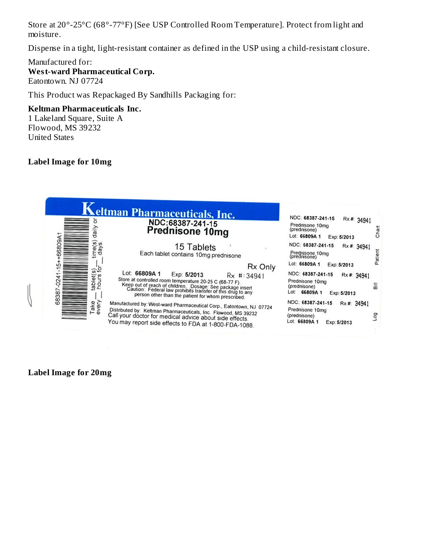Store at 20°-25°C (68°-77°F) [See USP Controlled Room Temperature]. Protect from light and moisture.

Dispense in a tight, light-resistant container as defined in the USP using a child-resistant closure.

Manufactured for: **West-ward Pharmaceutical Corp.** Eatontown. NJ 07724

This Product was Repackaged By Sandhills Packaging for:

# **Keltman Pharmaceuticals Inc.**

1 Lakeland Square, Suite A Flowood, MS 39232 United States

#### **Label Image for 10mg**



**Label Image for 20mg**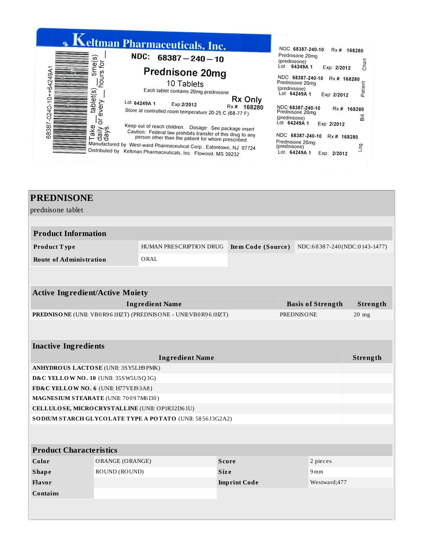| <b>Keltman Pharmaceuticals, Inc.</b><br>NDC:<br>$68387 - 240 - 10$                                                                                                                                                                                                                                                          | NDC 68387-240-10<br>Rx#: 168280<br>Prednisone 20mg<br>(prednisone)                                       |
|-----------------------------------------------------------------------------------------------------------------------------------------------------------------------------------------------------------------------------------------------------------------------------------------------------------------------------|----------------------------------------------------------------------------------------------------------|
| Prednisone 20mg<br>တ                                                                                                                                                                                                                                                                                                        | Chart<br>Lot 64249A 1<br>Exp: 2/2012<br>NDC: 68387-240-10<br>Rx# 168280                                  |
| O<br>10 Tablets<br>₩<br>$\overline{ }$<br>Each tablet contains 20mg prednisone<br>S<br>Rx Only<br>Lot: 64249A 1                                                                                                                                                                                                             | Prednisone 20mg<br>Patient<br>(prednisone)<br>Lot: 64249A 1<br>Exp: 2/2012                               |
| Exp: 2/2012<br>Rx# 168280<br>Store at controlled room temperature 20-25 C (68-77 F).                                                                                                                                                                                                                                        | NDC:68387-240-10<br>Rx# 168280<br>Prednisone 20mg<br>룲<br>(prednisone)<br>Lot: 64249A 1<br>Exp: 2/2012   |
| Keep out of reach children. Dosage: See package insert<br>Caution: Federal law prohibits transfer of this drug to any<br>person other than the patient for whom prescribed.<br>ರಾ<br>Manufactured by West-ward Pharmaceutical Corp., Eatontown, NJ 07724<br>Distributed by: Keltman Pharmaceuticals, Inc. Flowood, MS 39232 | NDC 68387-240-10<br>Rx# 168280<br>Prednisone 20mg<br>g<br>(prednisone)<br>Lot: 64249A 1<br>ExD<br>2/2012 |

| <b>PREDNISONE</b><br>prednisone tablet                          |                                      |                                                               |                     |                   |                              |          |  |
|-----------------------------------------------------------------|--------------------------------------|---------------------------------------------------------------|---------------------|-------------------|------------------------------|----------|--|
|                                                                 |                                      |                                                               |                     |                   |                              |          |  |
| <b>Product Information</b>                                      |                                      |                                                               |                     |                   |                              |          |  |
| Product Type                                                    |                                      | HUMAN PRESCRIPTION DRUG                                       | Item Code (Source)  |                   | NDC:68387-240(NDC:0143-1477) |          |  |
| <b>Route of Administration</b>                                  |                                      | ORAL                                                          |                     |                   |                              |          |  |
|                                                                 |                                      |                                                               |                     |                   |                              |          |  |
| <b>Active Ingredient/Active Moiety</b>                          |                                      |                                                               |                     |                   |                              |          |  |
|                                                                 |                                      | <b>Ingredient Name</b>                                        |                     |                   | <b>Basis of Strength</b>     | Strength |  |
|                                                                 |                                      | PREDNISONE (UNII: VB0R961HZT) (PREDNISONE - UNII: VB0R961HZT) |                     | <b>PREDNISONE</b> |                              | $20$ mg  |  |
|                                                                 |                                      |                                                               |                     |                   |                              |          |  |
|                                                                 |                                      |                                                               |                     |                   |                              |          |  |
| <b>Inactive Ingredients</b>                                     |                                      |                                                               |                     |                   |                              | Strength |  |
| <b>Ingredient Name</b><br>ANHYDROUS LACTOSE (UNII: 3SY5LH9 PMK) |                                      |                                                               |                     |                   |                              |          |  |
|                                                                 | D&C YELLOW NO. 10 (UNII: 35SW5USQ3G) |                                                               |                     |                   |                              |          |  |
| FD&C YELLOW NO. 6 (UNII: H77VEI93A8)                            |                                      |                                                               |                     |                   |                              |          |  |
| MAGNESIUM STEARATE (UNII: 70097M6I30)                           |                                      |                                                               |                     |                   |                              |          |  |
| CELLULOSE, MICRO CRYSTALLINE (UNII: OP1R32D61U)                 |                                      |                                                               |                     |                   |                              |          |  |
|                                                                 |                                      | SODIUM STARCH GLYCOLATE TYPE A POTATO (UNII: 5856J3G2A2)      |                     |                   |                              |          |  |
|                                                                 |                                      |                                                               |                     |                   |                              |          |  |
| <b>Product Characteristics</b>                                  |                                      |                                                               |                     |                   |                              |          |  |
| Color                                                           | ORANGE (ORANGE)                      |                                                               | <b>Score</b>        |                   | 2 pieces                     |          |  |
| <b>Shape</b>                                                    | ROUND (ROUND)                        |                                                               | <b>Size</b>         |                   | 9mm                          |          |  |
| Flavor                                                          |                                      |                                                               | <b>Imprint Code</b> |                   | Westward;477                 |          |  |
| Contains                                                        |                                      |                                                               |                     |                   |                              |          |  |
|                                                                 |                                      |                                                               |                     |                   |                              |          |  |
|                                                                 |                                      |                                                               |                     |                   |                              |          |  |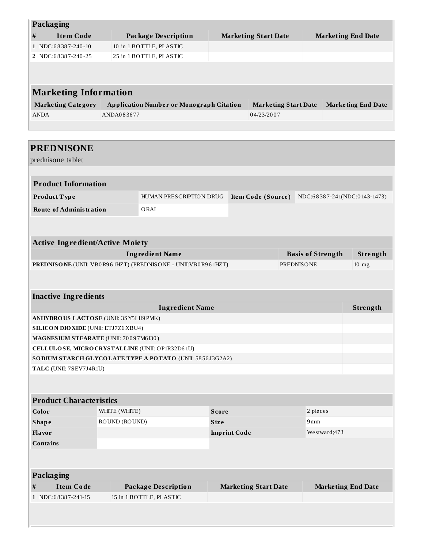| Packaging                                       |                            |                                                               |                     |                             |                              |                           |  |
|-------------------------------------------------|----------------------------|---------------------------------------------------------------|---------------------|-----------------------------|------------------------------|---------------------------|--|
| <b>Item Code</b><br>$\#$                        | <b>Package Description</b> |                                                               |                     | <b>Marketing Start Date</b> |                              | <b>Marketing End Date</b> |  |
| 1 NDC:68387-240-10                              |                            | 10 in 1 BOTTLE, PLASTIC                                       |                     |                             |                              |                           |  |
| 2 NDC:68387-240-25                              |                            | 25 in 1 BOTTLE, PLASTIC                                       |                     |                             |                              |                           |  |
|                                                 |                            |                                                               |                     |                             |                              |                           |  |
| <b>Marketing Information</b>                    |                            |                                                               |                     |                             |                              |                           |  |
| <b>Marketing Category</b>                       |                            | <b>Application Number or Monograph Citation</b>               |                     | <b>Marketing Start Date</b> |                              | <b>Marketing End Date</b> |  |
| <b>ANDA</b>                                     | ANDA083677                 |                                                               |                     | 04/23/2007                  |                              |                           |  |
|                                                 |                            |                                                               |                     |                             |                              |                           |  |
|                                                 |                            |                                                               |                     |                             |                              |                           |  |
| <b>PREDNISONE</b>                               |                            |                                                               |                     |                             |                              |                           |  |
| prednisone tablet                               |                            |                                                               |                     |                             |                              |                           |  |
|                                                 |                            |                                                               |                     |                             |                              |                           |  |
| <b>Product Information</b>                      |                            |                                                               |                     |                             |                              |                           |  |
| Product Type                                    |                            | HUMAN PRESCRIPTION DRUG                                       |                     | Item Code (Source)          | NDC:68387-241(NDC:0143-1473) |                           |  |
| <b>Route of Administration</b>                  |                            | ORAL                                                          |                     |                             |                              |                           |  |
|                                                 |                            |                                                               |                     |                             |                              |                           |  |
|                                                 |                            |                                                               |                     |                             |                              |                           |  |
| <b>Active Ingredient/Active Moiety</b>          |                            |                                                               |                     |                             |                              |                           |  |
|                                                 |                            | <b>Ingredient Name</b>                                        |                     |                             | <b>Basis of Strength</b>     | Strength                  |  |
|                                                 |                            | PREDNISONE (UNII: VB0R961HZT) (PREDNISONE - UNII: VB0R961HZT) |                     |                             | <b>PREDNISONE</b>            | $10$ mg                   |  |
|                                                 |                            |                                                               |                     |                             |                              |                           |  |
|                                                 |                            |                                                               |                     |                             |                              |                           |  |
| <b>Inactive Ingredients</b>                     |                            |                                                               |                     |                             |                              |                           |  |
|                                                 |                            | <b>Ingredient Name</b>                                        |                     |                             |                              | <b>Strength</b>           |  |
| ANHYDROUS LACTOSE (UNII: 3SY5LH9 PMK)           |                            |                                                               |                     |                             |                              |                           |  |
| <b>SILICON DIO XIDE (UNII: ETJ7Z6 XBU4)</b>     |                            |                                                               |                     |                             |                              |                           |  |
| MAGNESIUM STEARATE (UNII: 70097M6I30)           |                            |                                                               |                     |                             |                              |                           |  |
| CELLULOSE, MICRO CRYSTALLINE (UNII: OP1R32D61U) |                            | SODIUM STARCH GLYCOLATE TYPE A POTATO (UNII: 5856J3G2A2)      |                     |                             |                              |                           |  |
| TALC (UNII: 7SEV7J4R1U)                         |                            |                                                               |                     |                             |                              |                           |  |
|                                                 |                            |                                                               |                     |                             |                              |                           |  |
|                                                 |                            |                                                               |                     |                             |                              |                           |  |
| <b>Product Characteristics</b>                  |                            |                                                               |                     |                             |                              |                           |  |
| Color                                           | WHITE (WHITE)              |                                                               | <b>Score</b>        |                             | 2 pieces                     |                           |  |
| <b>Shape</b>                                    | ROUND (ROUND)              |                                                               | Size                |                             | 9mm                          |                           |  |
| Flavor                                          |                            |                                                               | <b>Imprint Code</b> |                             | Westward;473                 |                           |  |
| <b>Contains</b>                                 |                            |                                                               |                     |                             |                              |                           |  |
|                                                 |                            |                                                               |                     |                             |                              |                           |  |
|                                                 |                            |                                                               |                     |                             |                              |                           |  |
| <b>Packaging</b><br>$\#$<br><b>Item Code</b>    |                            | <b>Package Description</b>                                    |                     |                             |                              | <b>Marketing End Date</b> |  |
| 1 NDC:68387-241-15                              |                            | 15 in 1 BOTTLE, PLASTIC                                       |                     | <b>Marketing Start Date</b> |                              |                           |  |
|                                                 |                            |                                                               |                     |                             |                              |                           |  |
|                                                 |                            |                                                               |                     |                             |                              |                           |  |
|                                                 |                            |                                                               |                     |                             |                              |                           |  |